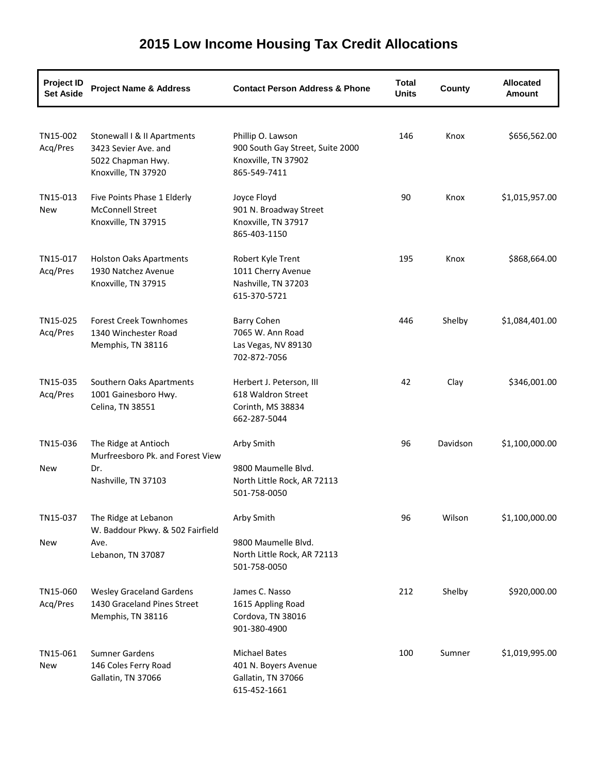#### **Project ID Set Aside Project Name & Address Contact Person Address & Phone Total Units County Allocated Amount** TN15-002 Stonewall I & II Apartments Phillip O. Lawson 146 Knox \$656,562.00 Acq/Pres 3423 Sevier Ave. and 900 South Gay Street, Suite 2000 5022 Chapman Hwy. Knoxville, TN 37902 Knoxville, TN 37920 865-549-7411 TN15-013 Five Points Phase 1 Elderly Joyce Floyd 90 Knox \$1,015,957.00 New McConnell Street 901 N. Broadway Street Knoxville, TN 37915 Knoxville, TN 37917 865-403-1150 TN15-017 Holston Oaks Apartments Robert Kyle Trent 195 Knox \$868,664.00 Acq/Pres 1930 Natchez Avenue 1011 Cherry Avenue Knoxville, TN 37915 Nashville, TN 37203 615-370-5721 TN15-025 Forest Creek Townhomes Barry Cohen 446 Shelby \$1,084,401.00 Acq/Pres 1340 Winchester Road 7065 W. Ann Road Memphis, TN 38116 Las Vegas, NV 89130 702-872-7056 TN15-035 Southern Oaks Apartments Herbert J. Peterson, III 42 Clay \$346,001.00 Acq/Pres 1001 Gainesboro Hwy. 618 Waldron Street Celina, TN 38551 Corinth, MS 38834 662-287-5044 TN15-036 The Ridge at Antioch Arby Smith Arby Smith 96 Davidson \$1,100,000.00 New Murfreesboro Pk. and Forest View Dr. 9800 Maumelle Blvd. Nashville, TN 37103 North Little Rock, AR 72113 501-758-0050 TN15-037 The Ridge at Lebanon **Arby Smith** Arby Smith 96 Wilson \$1,100,000.00 New W. Baddour Pkwy. & 502 Fairfield Ave. 2000 Maumelle Blvd. Lebanon, TN 37087 North Little Rock, AR 72113 501-758-0050 TN15-060 Wesley Graceland Gardens James C. Nasso 212 Shelby \$920,000.00 Acq/Pres 1430 Graceland Pines Street 1615 Appling Road Memphis, TN 38116 Cordova, TN 38016 901-380-4900 TN15-061 Sumner Gardens Michael Bates 100 Sumner \$1,019,995.00 New 146 Coles Ferry Road 401 N. Boyers Avenue Gallatin, TN 37066 Gallatin, TN 37066 615-452-1661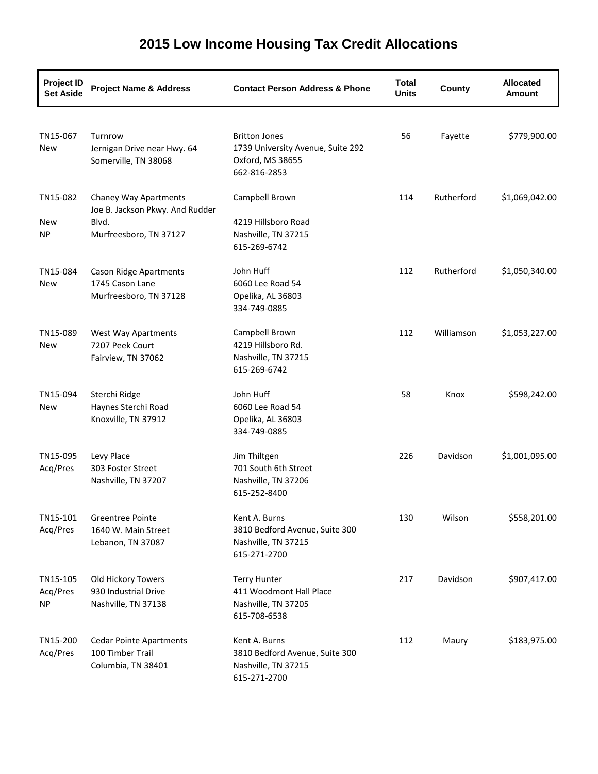| <b>Project ID</b><br><b>Set Aside</b> | <b>Project Name &amp; Address</b>                                                           | <b>Contact Person Address &amp; Phone</b>                                                     | <b>Total</b><br><b>Units</b> | County     | <b>Allocated</b><br><b>Amount</b> |
|---------------------------------------|---------------------------------------------------------------------------------------------|-----------------------------------------------------------------------------------------------|------------------------------|------------|-----------------------------------|
| TN15-067<br>New                       | Turnrow<br>Jernigan Drive near Hwy. 64<br>Somerville, TN 38068                              | <b>Britton Jones</b><br>1739 University Avenue, Suite 292<br>Oxford, MS 38655<br>662-816-2853 | 56                           | Fayette    | \$779,900.00                      |
| TN15-082<br>New<br><b>NP</b>          | Chaney Way Apartments<br>Joe B. Jackson Pkwy. And Rudder<br>Blvd.<br>Murfreesboro, TN 37127 | Campbell Brown<br>4219 Hillsboro Road<br>Nashville, TN 37215<br>615-269-6742                  | 114                          | Rutherford | \$1,069,042.00                    |
| TN15-084<br>New                       | <b>Cason Ridge Apartments</b><br>1745 Cason Lane<br>Murfreesboro, TN 37128                  | John Huff<br>6060 Lee Road 54<br>Opelika, AL 36803<br>334-749-0885                            | 112                          | Rutherford | \$1,050,340.00                    |
| TN15-089<br>New                       | <b>West Way Apartments</b><br>7207 Peek Court<br>Fairview, TN 37062                         | Campbell Brown<br>4219 Hillsboro Rd.<br>Nashville, TN 37215<br>615-269-6742                   | 112                          | Williamson | \$1,053,227.00                    |
| TN15-094<br>New                       | Sterchi Ridge<br>Haynes Sterchi Road<br>Knoxville, TN 37912                                 | John Huff<br>6060 Lee Road 54<br>Opelika, AL 36803<br>334-749-0885                            | 58                           | Knox       | \$598,242.00                      |
| TN15-095<br>Acq/Pres                  | Levy Place<br>303 Foster Street<br>Nashville, TN 37207                                      | Jim Thiltgen<br>701 South 6th Street<br>Nashville, TN 37206<br>615-252-8400                   | 226                          | Davidson   | \$1,001,095.00                    |
| TN15-101<br>Acq/Pres                  | Greentree Pointe<br>1640 W. Main Street<br>Lebanon, TN 37087                                | Kent A. Burns<br>3810 Bedford Avenue, Suite 300<br>Nashville, TN 37215<br>615-271-2700        | 130                          | Wilson     | \$558,201.00                      |
| TN15-105<br>Acq/Pres<br>NP            | Old Hickory Towers<br>930 Industrial Drive<br>Nashville, TN 37138                           | <b>Terry Hunter</b><br>411 Woodmont Hall Place<br>Nashville, TN 37205<br>615-708-6538         | 217                          | Davidson   | \$907,417.00                      |
| TN15-200<br>Acq/Pres                  | <b>Cedar Pointe Apartments</b><br>100 Timber Trail<br>Columbia, TN 38401                    | Kent A. Burns<br>3810 Bedford Avenue, Suite 300<br>Nashville, TN 37215<br>615-271-2700        | 112                          | Maury      | \$183,975.00                      |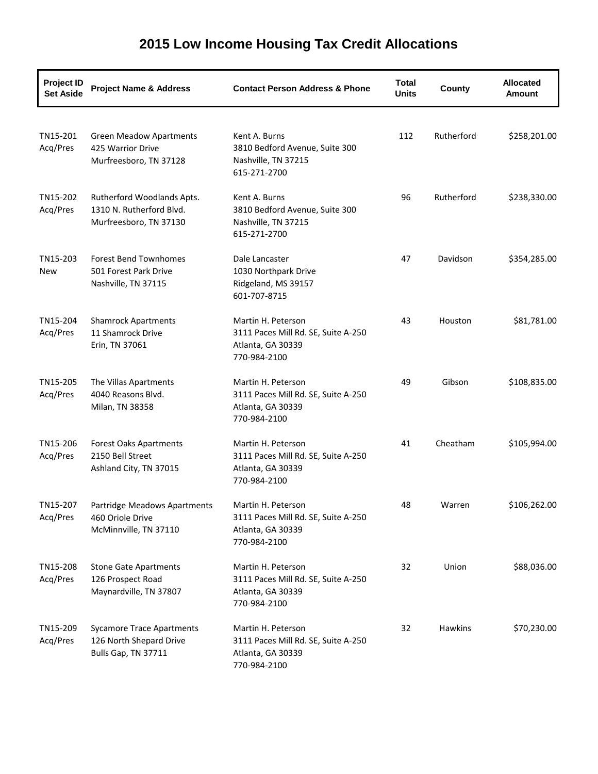| <b>Project ID</b><br><b>Set Aside</b> | <b>Project Name &amp; Address</b>                                                  | <b>Contact Person Address &amp; Phone</b>                                                      | <b>Total</b><br><b>Units</b> | County     | <b>Allocated</b><br><b>Amount</b> |
|---------------------------------------|------------------------------------------------------------------------------------|------------------------------------------------------------------------------------------------|------------------------------|------------|-----------------------------------|
| TN15-201<br>Acq/Pres                  | <b>Green Meadow Apartments</b><br>425 Warrior Drive<br>Murfreesboro, TN 37128      | Kent A. Burns<br>3810 Bedford Avenue, Suite 300<br>Nashville, TN 37215<br>615-271-2700         | 112                          | Rutherford | \$258,201.00                      |
| TN15-202<br>Acq/Pres                  | Rutherford Woodlands Apts.<br>1310 N. Rutherford Blvd.<br>Murfreesboro, TN 37130   | Kent A. Burns<br>3810 Bedford Avenue, Suite 300<br>Nashville, TN 37215<br>615-271-2700         | 96                           | Rutherford | \$238,330.00                      |
| TN15-203<br>New                       | <b>Forest Bend Townhomes</b><br>501 Forest Park Drive<br>Nashville, TN 37115       | Dale Lancaster<br>1030 Northpark Drive<br>Ridgeland, MS 39157<br>601-707-8715                  | 47                           | Davidson   | \$354,285.00                      |
| TN15-204<br>Acq/Pres                  | <b>Shamrock Apartments</b><br>11 Shamrock Drive<br>Erin, TN 37061                  | Martin H. Peterson<br>3111 Paces Mill Rd. SE, Suite A-250<br>Atlanta, GA 30339<br>770-984-2100 | 43                           | Houston    | \$81,781.00                       |
| TN15-205<br>Acq/Pres                  | The Villas Apartments<br>4040 Reasons Blvd.<br>Milan, TN 38358                     | Martin H. Peterson<br>3111 Paces Mill Rd. SE, Suite A-250<br>Atlanta, GA 30339<br>770-984-2100 | 49                           | Gibson     | \$108,835.00                      |
| TN15-206<br>Acq/Pres                  | <b>Forest Oaks Apartments</b><br>2150 Bell Street<br>Ashland City, TN 37015        | Martin H. Peterson<br>3111 Paces Mill Rd. SE, Suite A-250<br>Atlanta, GA 30339<br>770-984-2100 | 41                           | Cheatham   | \$105,994.00                      |
| TN15-207<br>Acq/Pres                  | Partridge Meadows Apartments<br>460 Oriole Drive<br>McMinnville, TN 37110          | Martin H. Peterson<br>3111 Paces Mill Rd. SE, Suite A-250<br>Atlanta, GA 30339<br>770-984-2100 | 48                           | Warren     | \$106,262.00                      |
| TN15-208<br>Acq/Pres                  | <b>Stone Gate Apartments</b><br>126 Prospect Road<br>Maynardville, TN 37807        | Martin H. Peterson<br>3111 Paces Mill Rd. SE, Suite A-250<br>Atlanta, GA 30339<br>770-984-2100 | 32                           | Union      | \$88,036.00                       |
| TN15-209<br>Acq/Pres                  | <b>Sycamore Trace Apartments</b><br>126 North Shepard Drive<br>Bulls Gap, TN 37711 | Martin H. Peterson<br>3111 Paces Mill Rd. SE, Suite A-250<br>Atlanta, GA 30339<br>770-984-2100 | 32                           | Hawkins    | \$70,230.00                       |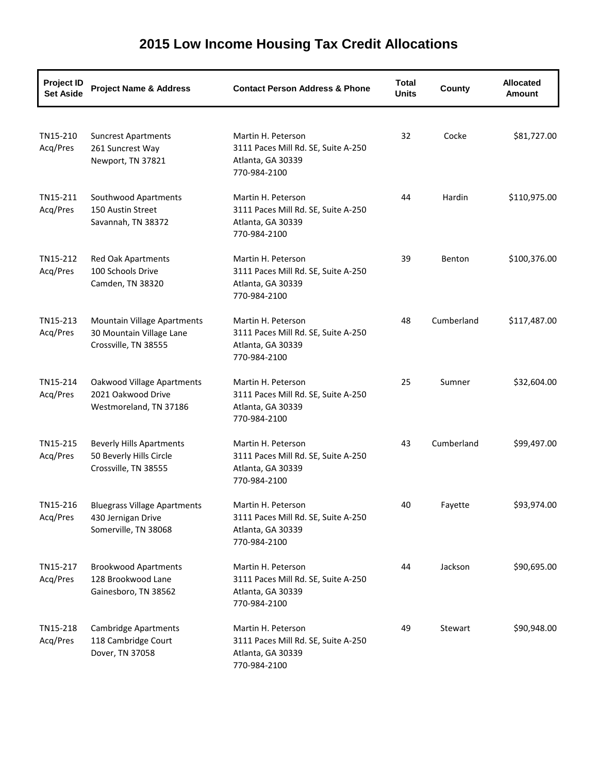| Project ID<br><b>Set Aside</b> | <b>Project Name &amp; Address</b>                                                  | <b>Contact Person Address &amp; Phone</b>                                                      | <b>Total</b><br><b>Units</b> | County     | <b>Allocated</b><br><b>Amount</b> |
|--------------------------------|------------------------------------------------------------------------------------|------------------------------------------------------------------------------------------------|------------------------------|------------|-----------------------------------|
| TN15-210<br>Acq/Pres           | <b>Suncrest Apartments</b><br>261 Suncrest Way<br>Newport, TN 37821                | Martin H. Peterson<br>3111 Paces Mill Rd. SE, Suite A-250<br>Atlanta, GA 30339<br>770-984-2100 | 32                           | Cocke      | \$81,727.00                       |
| TN15-211<br>Acq/Pres           | Southwood Apartments<br>150 Austin Street<br>Savannah, TN 38372                    | Martin H. Peterson<br>3111 Paces Mill Rd. SE, Suite A-250<br>Atlanta, GA 30339<br>770-984-2100 | 44                           | Hardin     | \$110,975.00                      |
| TN15-212<br>Acq/Pres           | <b>Red Oak Apartments</b><br>100 Schools Drive<br>Camden, TN 38320                 | Martin H. Peterson<br>3111 Paces Mill Rd. SE, Suite A-250<br>Atlanta, GA 30339<br>770-984-2100 | 39                           | Benton     | \$100,376.00                      |
| TN15-213<br>Acq/Pres           | Mountain Village Apartments<br>30 Mountain Village Lane<br>Crossville, TN 38555    | Martin H. Peterson<br>3111 Paces Mill Rd. SE, Suite A-250<br>Atlanta, GA 30339<br>770-984-2100 | 48                           | Cumberland | \$117,487.00                      |
| TN15-214<br>Acq/Pres           | Oakwood Village Apartments<br>2021 Oakwood Drive<br>Westmoreland, TN 37186         | Martin H. Peterson<br>3111 Paces Mill Rd. SE, Suite A-250<br>Atlanta, GA 30339<br>770-984-2100 | 25                           | Sumner     | \$32,604.00                       |
| TN15-215<br>Acq/Pres           | <b>Beverly Hills Apartments</b><br>50 Beverly Hills Circle<br>Crossville, TN 38555 | Martin H. Peterson<br>3111 Paces Mill Rd. SE, Suite A-250<br>Atlanta, GA 30339<br>770-984-2100 | 43                           | Cumberland | \$99,497.00                       |
| TN15-216<br>Acq/Pres           | <b>Bluegrass Village Apartments</b><br>430 Jernigan Drive<br>Somerville, TN 38068  | Martin H. Peterson<br>3111 Paces Mill Rd. SE, Suite A-250<br>Atlanta, GA 30339<br>770-984-2100 | 40                           | Fayette    | \$93,974.00                       |
| TN15-217<br>Acq/Pres           | <b>Brookwood Apartments</b><br>128 Brookwood Lane<br>Gainesboro, TN 38562          | Martin H. Peterson<br>3111 Paces Mill Rd. SE, Suite A-250<br>Atlanta, GA 30339<br>770-984-2100 | 44                           | Jackson    | \$90,695.00                       |
| TN15-218<br>Acq/Pres           | <b>Cambridge Apartments</b><br>118 Cambridge Court<br>Dover, TN 37058              | Martin H. Peterson<br>3111 Paces Mill Rd. SE, Suite A-250<br>Atlanta, GA 30339<br>770-984-2100 | 49                           | Stewart    | \$90,948.00                       |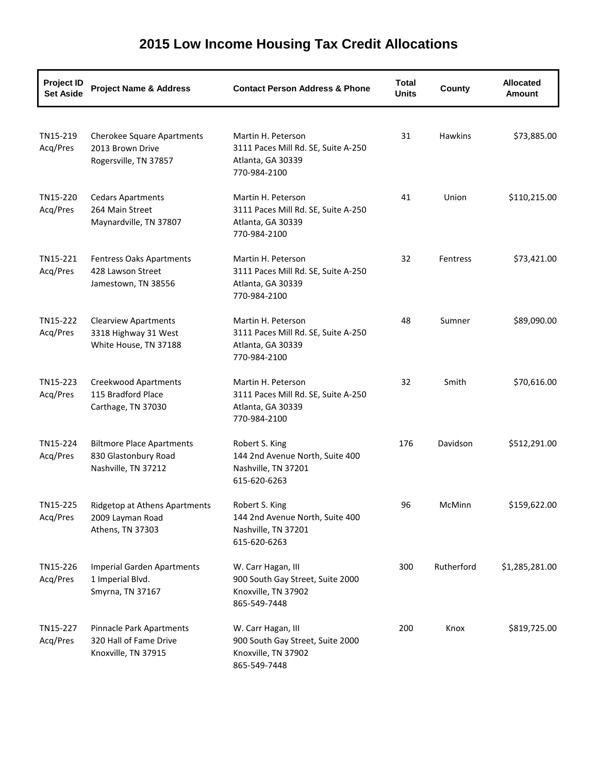#### **Project ID Set Aside Project Name & Address Contact Person Address & Phone Total Units County Allocated Amount** TN15-219 Cherokee Square Apartments Martin H. Peterson 31 Hawkins \$73,885.00 Acq/Pres 2013 Brown Drive 3111 Paces Mill Rd. SE, Suite A-250 Rogersville, TN 37857 Atlanta, GA 30339 770-984-2100 TN15-220 Cedars Apartments Martin H. Peterson 41 Union \$110,215.00 Acq/Pres 264 Main Street 3111 Paces Mill Rd. SE, Suite A-250 Maynardville, TN 37807 Atlanta, GA 30339 770-984-2100 TN15-221 Fentress Oaks Apartments Martin H. Peterson 32 Fentress \$73,421.00 Acq/Pres 428 Lawson Street 3111 Paces Mill Rd. SE, Suite A-250 Jamestown, TN 38556 Atlanta, GA 30339 770-984-2100 TN15-222 Clearview Apartments Martin H. Peterson 48 Sumner \$89,090.00 Acq/Pres 3318 Highway 31 West 3111 Paces Mill Rd. SE, Suite A-250 White House, TN 37188 Atlanta, GA 30339 770-984-2100 TN15-223 Creekwood Apartments Martin H. Peterson 32 Smith \$70,616.00 Acq/Pres 115 Bradford Place 3111 Paces Mill Rd. SE, Suite A-250 Carthage, TN 37030 Atlanta, GA 30339 770-984-2100 TN15-224 Biltmore Place Apartments Robert S. King 176 Davidson \$512,291.00 Acq/Pres 830 Glastonbury Road 144 2nd Avenue North, Suite 400 Nashville, TN 37212 Nashville, TN 37201 615-620-6263 TN15-225 Ridgetop at Athens Apartments Robert S. King 96 McMinn \$159,622.00 Acq/Pres 2009 Layman Road 144 2nd Avenue North, Suite 400 Athens, TN 37303 Nashville, TN 37201 615-620-6263 TN15-226 Imperial Garden Apartments W. Carr Hagan, III 300 Rutherford \$1,285,281.00 Acq/Pres 1 Imperial Blvd. 6900 South Gay Street, Suite 2000 Smyrna, TN 37167 Knoxville, TN 37902 865-549-7448 TN15-227 Pinnacle Park Apartments W. Carr Hagan, III 200 Knox \$819,725.00 Acq/Pres 320 Hall of Fame Drive 900 South Gay Street, Suite 2000 Knoxville, TN 37915 Knoxville, TN 37902 865-549-7448